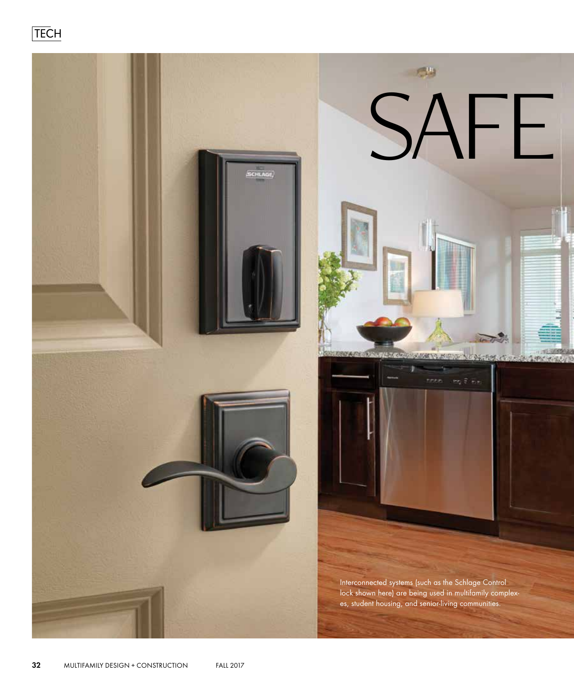**TECH** 

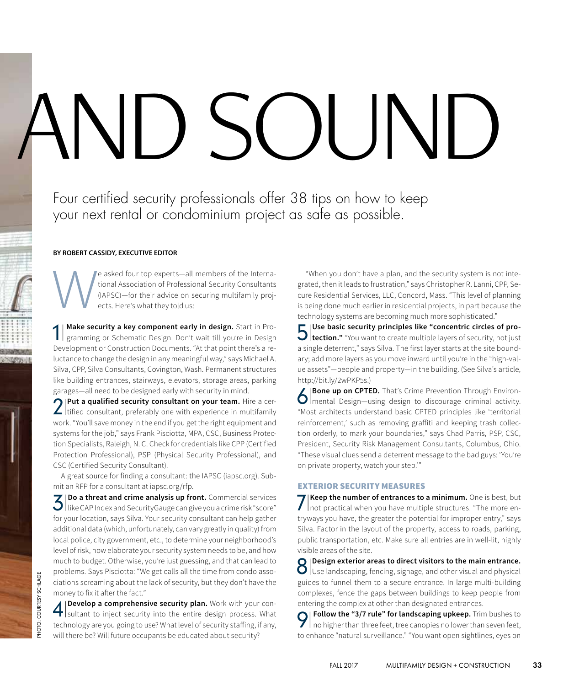# AND SOUND

Four certified security professionals offer 38 tips on how to keep your next rental or condominium project as safe as possible.

## **BY ROBERT CASSIDY, EXECUTIVE EDITOR**

We asked four top experts—all members of the Interna-<br>tional Association of Professional Security Consultants<br>(IAPSC)—for their advice on securing multifamily proj-<br>ects. Here's what they told us: tional Association of Professional Security Consultants (IAPSC)—for their advice on securing multifamily projects. Here's what they told us:

1| **Make security a key component early in design.** Start in Programming or Schematic Design. Don't wait till you're in Design Development or Construction Documents. "At that point there's a reluctance to change the design in any meaningful way," says Michael A. Silva, CPP, Silva Consultants, Covington, Wash. Permanent structures like building entrances, stairways, elevators, storage areas, parking garages—all need to be designed early with security in mind.

2 | Put a qualified security consultant on your team. Hire a certified consultant, preferably one with experience in multifamily tified consultant, preferably one with experience in multifamily work. "You'll save money in the end if you get the right equipment and systems for the job," says Frank Pisciotta, MPA, CSC, Business Protection Specialists, Raleigh, N. C. Check for credentials like CPP (Certified Protection Professional), PSP (Physical Security Professional), and CSC (Certified Security Consultant).

A great source for finding a consultant: the IAPSC (iapsc.org). Submit an RFP for a consultant at iapsc.org/rfp.

3| **Do a threat and crime analysis up front.** Commercial services like CAP Index and SecurityGauge can give you a crime risk "score" for your location, says Silva. Your security consultant can help gather additional data (which, unfortunately, can vary greatly in quality) from local police, city government, etc., to determine your neighborhood's level of risk, how elaborate your security system needs to be, and how much to budget. Otherwise, you're just guessing, and that can lead to problems. Says Pisciotta: "We get calls all the time from condo associations screaming about the lack of security, but they don't have the money to fix it after the fact."

4 **Develop a comprehensive security plan.** Work with your consider substitution inject security into the entire design process. What **Develop a comprehensive security plan.** Work with your contechnology are you going to use? What level of security staffing, if any, will there be? Will future occupants be educated about security?

"When you don't have a plan, and the security system is not integrated, then it leads to frustration," says Christopher R. Lanni, CPP, Secure Residential Services, LLC, Concord, Mass. "This level of planning is being done much earlier in residential projects, in part because the technology systems are becoming much more sophisticated."

**5** Use basic security principles like "concentric circles of pro-<br> **5** election." "You want to create multiple layers of security, not just **tection."** "You want to create multiple layers of security, not just a single deterrent," says Silva. The first layer starts at the site boundary; add more layers as you move inward until you're in the "high-value assets"—people and property—in the building. (See Silva's article, http://bit.ly/2wPKP5s.)

**6** Bone up on CPTED. That's Crime Prevention Through Environ-<br> **6** Bone up on CPTED. That's Crime Prevention Through Environmental Design—using design to discourage criminal activity. "Most architects understand basic CPTED principles like 'territorial reinforcement,' such as removing graffiti and keeping trash collection orderly, to mark your boundaries," says Chad Parris, PSP, CSC, President, Security Risk Management Consultants, Columbus, Ohio. "These visual clues send a deterrent message to the bad guys: 'You're on private property, watch your step.'"

# EXTERIOR SECURITY MEASURES

**7** Keep the number of entrances to a minimum. One is best, but<br>not practical when you have multiple structures. "The more ennot practical when you have multiple structures. "The more entryways you have, the greater the potential for improper entry," says Silva. Factor in the layout of the property, access to roads, parking, public transportation, etc. Make sure all entries are in well-lit, highly visible areas of the site.

**8** Design exterior areas to direct visitors to the main entrance.<br>**8** Use landscaping, fencing, signage, and other visual and physical Use landscaping, fencing, signage, and other visual and physical guides to funnel them to a secure entrance. In large multi-building complexes, fence the gaps between buildings to keep people from entering the complex at other than designated entrances.

**9** Follow the "3/7 rule" for landscaping upkeep. Trim bushes to no higher than three feet, tree canopies no lower than seven feet, no higher than three feet, tree canopies no lower than seven feet, to enhance "natural surveillance." "You want open sightlines, eyes on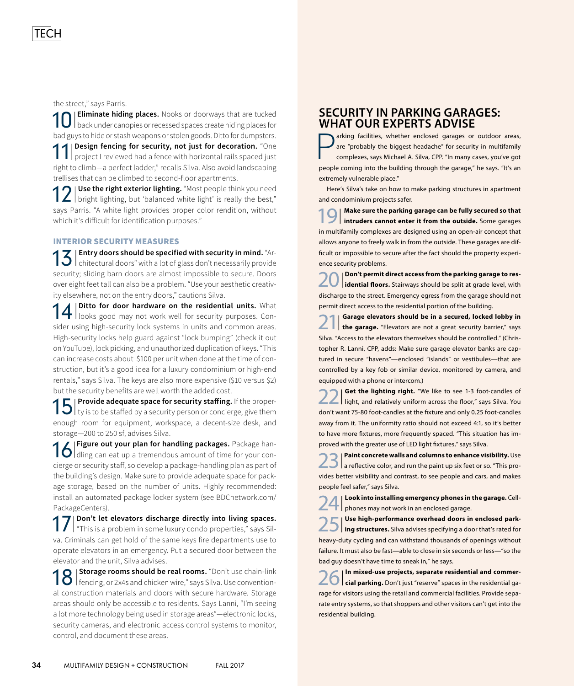the street," says Parris.

10 **Eliminate hiding places.** Nooks or doorways that are tucked back under canopies or recessed spaces create hiding places for back under canopies or recessed spaces create hiding places for bad guys to hide or stash weapons or stolen goods. Ditto for dumpsters. **| Design fencing for security, not just for decoration.** "One project I reviewed had a fence with horizontal rails spaced just right to climb—a perfect ladder," recalls Silva. Also avoid landscaping trellises that can be climbed to second-floor apartments.

12 | Use the right exterior lighting. "Most people think you need bright lighting, but 'balanced white light' is really the best," **1** Use the right exterior lighting. "Most people think you need says Parris. "A white light provides proper color rendition, without which it's difficult for identification purposes."

# INTERIOR SECURITY MEASURES

13<sup>|</sup> **Entry doors should be specified with security in mind.** "Architectural doors" with a lot of glass don't necessarily provide security; sliding barn doors are almost impossible to secure. Doors over eight feet tall can also be a problem. "Use your aesthetic creativity elsewhere, not on the entry doors," cautions Silva.

14<sup>|</sup> **Ditto for door hardware on the residential units.** What looks good may not work well for security purposes. Consider using high-security lock systems in units and common areas. High-security locks help guard against "lock bumping" (check it out on YouTube), lock picking, and unauthorized duplication of keys. "This can increase costs about \$100 per unit when done at the time of construction, but it's a good idea for a luxury condominium or high-end rentals," says Silva. The keys are also more expensive (\$10 versus \$2) but the security benefits are well worth the added cost.

15|**Provide adequate space for security staffing.** If the proper-<br>15|ty is to be staffed by a security person or concierge, give them ty is to be staffed by a security person or concierge, give them enough room for equipment, workspace, a decent-size desk, and storage—200 to 250 sf, advises Silva.

**16** Figure out your plan for handling packages. Package han-<br>**16** dling can eat up a tremendous amount of time for your condling can eat up a tremendous amount of time for your concierge or security staff, so develop a package-handling plan as part of the building's design. Make sure to provide adequate space for package storage, based on the number of units. Highly recommended: install an automated package locker system (see BDCnetwork.com/ PackageCenters).

17<sup>|</sup> **Don't let elevators discharge directly into living spaces.** "This is a problem in some luxury condo properties," says Silva. Criminals can get hold of the same keys fire departments use to operate elevators in an emergency. Put a secured door between the elevator and the unit, Silva advises.

18||Storage rooms should be real rooms. "Don't use chain-link<br>| encing, or 2x4s and chicken wire," says Silva. Use conventionfencing, or 2x4s and chicken wire," says Silva. Use conventional construction materials and doors with secure hardware. Storage areas should only be accessible to residents. Says Lanni, "I'm seeing a lot more technology being used in storage areas"—electronic locks, security cameras, and electronic access control systems to monitor, control, and document these areas.

# **SECURITY IN PARKING GARAGES: WHAT OUR EXPERTS ADVISE**

arking facilities, whether enclosed garages or outdoor areas, are "probably the biggest headache" for security in multifamily complexes, says Michael A. Silva, CPP. "In many cases, you've got people coming into the building through the garage," he says. "It's an extremely vulnerable place."

Here's Silva's take on how to make parking structures in apartment and condominium projects safer.

19<sup>|</sup> **Make sure the parking garage can be fully secured so that intruders cannot enter it from the outside.** Some garages in multifamily complexes are designed using an open-air concept that allows anyone to freely walk in from the outside. These garages are difficult or impossible to secure after the fact should the property experience security problems.

20<sup>|</sup> **Don't permit direct access from the parking garage to residential floors.** Stairways should be split at grade level, with discharge to the street. Emergency egress from the garage should not permit direct access to the residential portion of the building.

21<sup>|</sup> **Garage elevators should be in a secured, locked lobby in the garage.** "Elevators are not a great security barrier," says Silva. "Access to the elevators themselves should be controlled." (Christopher R. Lanni, CPP, adds: Make sure garage elevator banks are captured in secure "havens"—enclosed "islands" or vestibules—that are controlled by a key fob or similar device, monitored by camera, and equipped with a phone or intercom.)

22<sup>|</sup> **Get the lighting right.** "We like to see 1-3 foot-candles of light, and relatively uniform across the floor," says Silva. You don't want 75-80 foot-candles at the fixture and only 0.25 foot-candles away from it. The uniformity ratio should not exceed 4:1, so it's better to have more fixtures, more frequently spaced. "This situation has improved with the greater use of LED light fixtures," says Silva.

23<sup>|</sup> **Paint concrete walls and columns to enhance visibility.** Use a reflective color, and run the paint up six feet or so. "This provides better visibility and contrast, to see people and cars, and makes people feel safer," says Silva.

24<sup>|</sup> **Look into installing emergency phones in the garage.** Cellphones may not work in an enclosed garage.

25<sup>|</sup> **Use high-performance overhead doors in enclosed parking structures.** Silva advises specifying a door that's rated for heavy-duty cycling and can withstand thousands of openings without failure. It must also be fast—able to close in six seconds or less—"so the bad guy doesn't have time to sneak in," he says.

26<sup>|</sup> **In mixed-use projects, separate residential and commercial parking.** Don't just "reserve" spaces in the residential garage for visitors using the retail and commercial facilities. Provide separate entry systems, so that shoppers and other visitors can't get into the residential building.